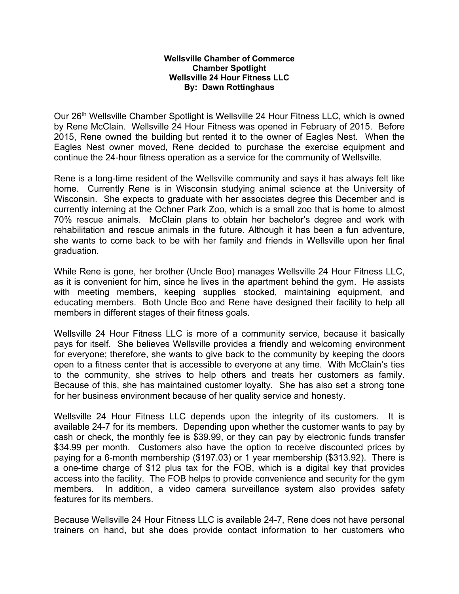## **Wellsville Chamber of Commerce Chamber Spotlight Wellsville 24 Hour Fitness LLC By: Dawn Rottinghaus**

Our 26th Wellsville Chamber Spotlight is Wellsville 24 Hour Fitness LLC, which is owned by Rene McClain. Wellsville 24 Hour Fitness was opened in February of 2015. Before 2015, Rene owned the building but rented it to the owner of Eagles Nest. When the Eagles Nest owner moved, Rene decided to purchase the exercise equipment and continue the 24-hour fitness operation as a service for the community of Wellsville.

Rene is a long-time resident of the Wellsville community and says it has always felt like home. Currently Rene is in Wisconsin studying animal science at the University of Wisconsin. She expects to graduate with her associates degree this December and is currently interning at the Ochner Park Zoo, which is a small zoo that is home to almost 70% rescue animals. McClain plans to obtain her bachelor's degree and work with rehabilitation and rescue animals in the future. Although it has been a fun adventure, she wants to come back to be with her family and friends in Wellsville upon her final graduation.

While Rene is gone, her brother (Uncle Boo) manages Wellsville 24 Hour Fitness LLC, as it is convenient for him, since he lives in the apartment behind the gym. He assists with meeting members, keeping supplies stocked, maintaining equipment, and educating members. Both Uncle Boo and Rene have designed their facility to help all members in different stages of their fitness goals.

Wellsville 24 Hour Fitness LLC is more of a community service, because it basically pays for itself. She believes Wellsville provides a friendly and welcoming environment for everyone; therefore, she wants to give back to the community by keeping the doors open to a fitness center that is accessible to everyone at any time. With McClain's ties to the community, she strives to help others and treats her customers as family. Because of this, she has maintained customer loyalty. She has also set a strong tone for her business environment because of her quality service and honesty.

Wellsville 24 Hour Fitness LLC depends upon the integrity of its customers. It is available 24-7 for its members. Depending upon whether the customer wants to pay by cash or check, the monthly fee is \$39.99, or they can pay by electronic funds transfer \$34.99 per month. Customers also have the option to receive discounted prices by paying for a 6-month membership (\$197.03) or 1 year membership (\$313.92). There is a one-time charge of \$12 plus tax for the FOB, which is a digital key that provides access into the facility. The FOB helps to provide convenience and security for the gym members. In addition, a video camera surveillance system also provides safety features for its members.

Because Wellsville 24 Hour Fitness LLC is available 24-7, Rene does not have personal trainers on hand, but she does provide contact information to her customers who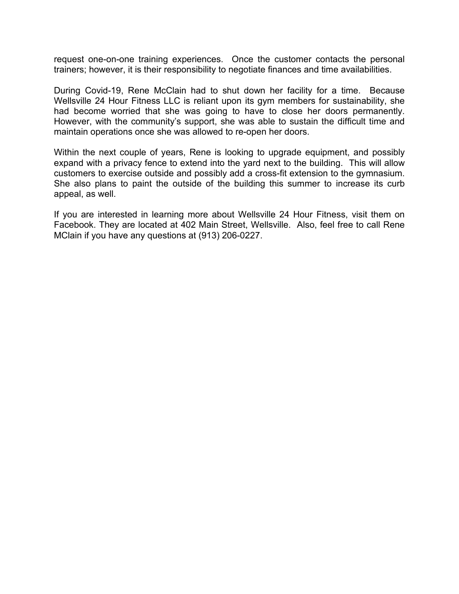request one-on-one training experiences. Once the customer contacts the personal trainers; however, it is their responsibility to negotiate finances and time availabilities.

During Covid-19, Rene McClain had to shut down her facility for a time. Because Wellsville 24 Hour Fitness LLC is reliant upon its gym members for sustainability, she had become worried that she was going to have to close her doors permanently. However, with the community's support, she was able to sustain the difficult time and maintain operations once she was allowed to re-open her doors.

Within the next couple of years, Rene is looking to upgrade equipment, and possibly expand with a privacy fence to extend into the yard next to the building. This will allow customers to exercise outside and possibly add a cross-fit extension to the gymnasium. She also plans to paint the outside of the building this summer to increase its curb appeal, as well.

If you are interested in learning more about Wellsville 24 Hour Fitness, visit them on Facebook. They are located at 402 Main Street, Wellsville. Also, feel free to call Rene MClain if you have any questions at (913) 206-0227.